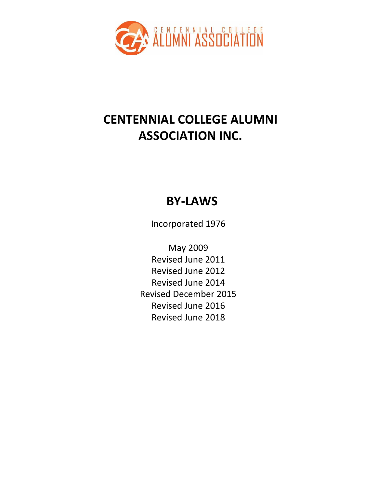

# **CENTENNIAL COLLEGE ALUMNI ASSOCIATION INC.**

# **BY-LAWS**

Incorporated 1976

May 2009 Revised June 2011 Revised June 2012 Revised June 2014 Revised December 2015 Revised June 2016 Revised June 2018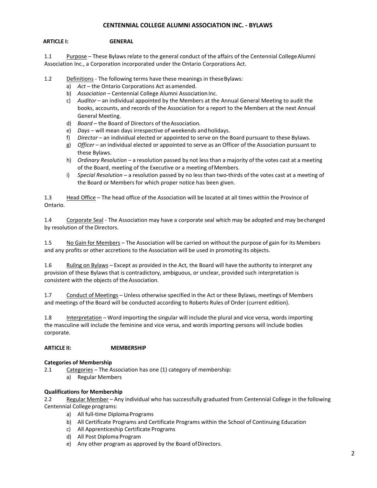## **CENTENNIAL COLLEGE ALUMNI ASSOCIATION INC. - BYLAWS**

## **ARTICLE I: GENERAL**

1.1 Purpose – These Bylaws relate to the general conduct of the affairs of the Centennial CollegeAlumni Association Inc., a Corporation incorporated under the Ontario Corporations Act.

1.2 Definitions - The following terms have these meanings in these Bylaws:

- a) *Act*  the Ontario Corporations Act asamended.
- b) Association Centennial College Alumni Association Inc.
- c) *Auditor*  an individual appointed by the Members at the Annual General Meeting to audit the books, accounts, and records of the Association for a report to the Members at the next Annual General Meeting.
- d) *Board*  the Board of Directors of theAssociation.
- e) *Days*  will mean days irrespective of weekends andholidays.
- f) *Director*  an individual elected or appointed to serve on the Board pursuant to these Bylaws.
- g) *Officer* an individual elected or appointed to serve as an Officer of the Association pursuant to these Bylaws.
- h) *Ordinary Resolution*  a resolution passed by not less than a majority of the votes cast at a meeting of the Board, meeting of the Executive or a meeting ofMembers.
- i) *Special Resolution*  a resolution passed by no less than two-thirds of the votes cast at a meeting of the Board or Members for which proper notice has been given.

1.3 Head Office – The head office of the Association will be located at all times within the Province of Ontario.

1.4 Corporate Seal - The Association may have a corporate seal which may be adopted and may be changed by resolution of the Directors.

1.5 No Gain for Members – The Association will be carried on without the purpose of gain for its Members and any profits or other accretions to the Association will be used in promoting its objects.

1.6 Ruling on Bylaws – Except as provided in the Act, the Board will have the authority to interpret any provision of these Bylaws that is contradictory, ambiguous, or unclear, provided such interpretation is consistent with the objects of the Association.

1.7 Conduct of Meetings – Unless otherwise specified in the Act or these Bylaws, meetings of Members and meetings of the Board will be conducted according to Roberts Rules of Order (current edition).

1.8 Interpretation – Word importing the singular will include the plural and vice versa, words importing the masculine will include the feminine and vice versa, and words importing persons will include bodies corporate.

## **ARTICLE II: MEMBERSHIP**

## **Categories of Membership**

- 2.1 Categories The Association has one (1) category of membership:
	- a) Regular Members

## **Qualifications for Membership**

2.2 Regular Member – Any individual who has successfully graduated from Centennial College in the following Centennial College programs:

- a) All full-time Diploma Programs
- b) All Certificate Programs and Certificate Programs within the School of Continuing Education
- c) All Apprenticeship Certificate Programs
- d) All Post Diploma Program
- e) Any other program as approved by the Board ofDirectors.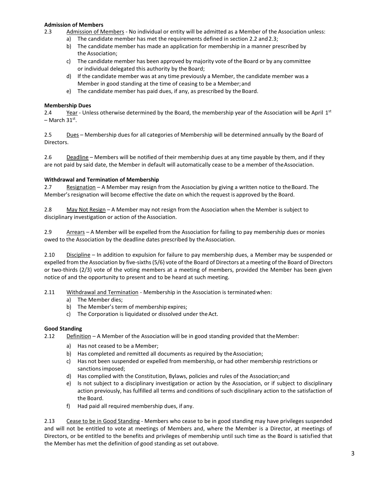## **Admission of Members**

- 2.3 Admission of Members No individual or entity will be admitted as a Member of the Association unless:
	- a) The candidate member has met the requirements defined in section 2.2 and2.3;
	- b) The candidate member has made an application for membership in a manner prescribed by the Association;
	- c) The candidate member has been approved by majority vote of the Board or by any committee or individual delegated this authority by the Board;
	- d) If the candidate member was at any time previously a Member, the candidate member was a Member in good standing at the time of ceasing to be a Member;and
	- e) The candidate member has paid dues, if any, as prescribed by the Board.

### **Membership Dues**

2.4 Year - Unless otherwise determined by the Board, the membership year of the Association will be April 1st – March 31<sup>st</sup>.

2.5 Dues – Membership dues for all categories of Membership will be determined annually by the Board of Directors.

2.6 Deadline – Members will be notified of their membership dues at any time payable by them, and if they are not paid by said date, the Member in default will automatically cease to be a member of the Association.

#### **Withdrawal and Termination of Membership**

2.7 Resignation – A Member may resign from the Association by giving a written notice to theBoard. The Member'sresignation will become effective the date on which the request is approved by the Board.

2.8 May Not Resign – A Member may not resign from the Association when the Member is subject to disciplinary investigation or action of the Association.

2.9 Arrears – A Member will be expelled from the Association for failing to pay membership dues or monies owed to the Association by the deadline dates prescribed by theAssociation.

2.10 Discipline – In addition to expulsion for failure to pay membership dues, a Member may be suspended or expelled from the Association by five-sixths(5/6) vote of the Board of Directors at a meeting of the Board of Directors or two-thirds (2/3) vote of the voting members at a meeting of members, provided the Member has been given notice of and the opportunity to present and to be heard at such meeting.

2.11 Withdrawal and Termination - Membership in the Association is terminated when:

- a) The Member dies;
- b) The Member's term of membership expires;
- c) The Corporation is liquidated or dissolved under theAct.

## **Good Standing**

- 2.12 Definition A Member of the Association will be in good standing provided that theMember:
	- a) Has not ceased to be a Member;
	- b) Has completed and remitted all documents as required by the Association;
	- c) Has not been suspended or expelled from membership, or had other membership restrictions or sanctionsimposed;
	- d) Has complied with the Constitution, Bylaws, policies and rules of the Association;and
	- e) Is not subject to a disciplinary investigation or action by the Association, or if subject to disciplinary action previously, has fulfilled all terms and conditions of such disciplinary action to the satisfaction of the Board.
	- f) Had paid all required membership dues, if any.

2.13 Cease to be in Good Standing - Members who cease to be in good standing may have privileges suspended and will not be entitled to vote at meetings of Members and, where the Member is a Director, at meetings of Directors, or be entitled to the benefits and privileges of membership until such time as the Board is satisfied that the Member has met the definition of good standing as set outabove.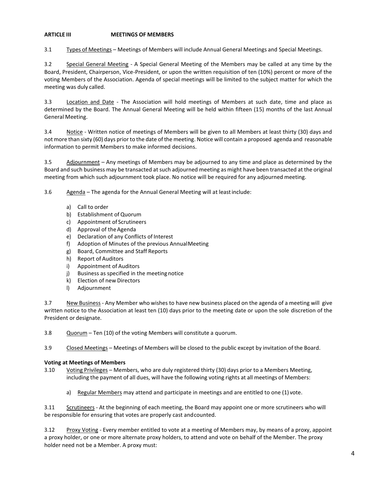## **ARTICLE III MEETINGS OF MEMBERS**

3.1 Types of Meetings – Meetings of Members will include Annual General Meetings and Special Meetings.

3.2 Special General Meeting - A Special General Meeting of the Members may be called at any time by the Board, President, Chairperson, Vice-President, or upon the written requisition of ten (10%) percent or more of the voting Members of the Association. Agenda of special meetings will be limited to the subject matter for which the meeting was duly called.

3.3 Location and Date - The Association will hold meetings of Members at such date, time and place as determined by the Board. The Annual General Meeting will be held within fifteen (15) months of the last Annual General Meeting.

3.4 Notice - Written notice of meetings of Members will be given to all Members at least thirty (30) days and not more than sixty (60) days prior to the date of the meeting. Notice will contain a proposed agenda and reasonable information to permit Members to make informed decisions.

3.5 Adjournment – Any meetings of Members may be adjourned to any time and place as determined by the Board and such business may be transacted at such adjourned meeting as might have been transacted at the original meeting from which such adjournment took place. No notice will be required for any adjourned meeting.

3.6 Agenda – The agenda for the Annual General Meeting will at leastinclude:

- a) Call to order
- b) Establishment of Quorum
- c) Appointment of Scrutineers
- d) Approval of the Agenda
- e) Declaration of any Conflicts of Interest
- f) Adoption of Minutes of the previous AnnualMeeting
- g) Board, Committee and Staff Reports
- h) Report of Auditors
- i) Appointment of Auditors
- j) Business as specified in the meeting notice
- k) Election of new Directors
- l) Adjournment

3.7 New Business - Any Member who wishes to have new business placed on the agenda of a meeting will give written notice to the Association at least ten (10) days prior to the meeting date or upon the sole discretion of the President or designate.

3.8 Quorum – Ten (10) of the voting Members will constitute a quorum.

3.9 Closed Meetings – Meetings of Members will be closed to the public except by invitation of the Board.

## **Voting at Meetings of Members**

- 3.10 Voting Privileges Members, who are duly registered thirty (30) days prior to a Members Meeting, including the payment of all dues, will have the following voting rights at all meetings of Members:
	- a) Regular Members may attend and participate in meetings and are entitled to one (1) vote.

3.11 Scrutineers - At the beginning of each meeting, the Board may appoint one or more scrutineers who will be responsible for ensuring that votes are properly cast andcounted.

3.12 Proxy Voting - Every member entitled to vote at a meeting of Members may, by means of a proxy, appoint a proxy holder, or one or more alternate proxy holders, to attend and vote on behalf of the Member. The proxy holder need not be a Member. A proxy must: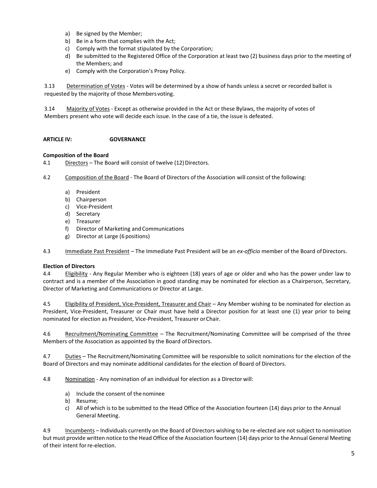- a) Be signed by the Member;
- b) Be in a form that complies with the Act;
- c) Comply with the format stipulated by the Corporation;
- d) Be submitted to the Registered Office of the Corporation at least two (2) business days prior to the meeting of the Members; and
- e) Comply with the Corporation's Proxy Policy.

3.13 Determination of Votes - Votes will be determined by a show of hands unless a secret or recorded ballot is requested by the majority of those Members voting.

3.14 Majority of Votes - Except as otherwise provided in the Act or these Bylaws, the majority of votes of Members present who vote will decide each issue. In the case of a tie, the issue is defeated.

## **ARTICLE IV: GOVERNANCE**

## **Composition of the Board**

4.1 Directors – The Board will consist of twelve (12) Directors.

4.2 Composition of the Board - The Board of Directors of the Association will consist of the following:

- a) President
- b) Chairperson
- c) Vice-President
- d) Secretary
- e) Treasurer
- f) Director of Marketing and Communications
- g) Director at Large (6 positions)

4.3 Immediate Past President – The Immediate Past President will be an *ex-officio* member of the Board ofDirectors.

## **Election of Directors**

4.4 Eligibility - Any Regular Member who is eighteen (18) years of age or older and who has the power under law to contract and is a member of the Association in good standing may be nominated for election as a Chairperson, Secretary, Director of Marketing and Communications or Director at Large.

4.5 Eligibility of President, Vice-President, Treasurer and Chair – Any Member wishing to be nominated for election as President, Vice-President, Treasurer or Chair must have held a Director position for at least one (1) year prior to being nominated for election as President, Vice-President, Treasurer orChair.

4.6 Recruitment/Nominating Committee – The Recruitment/Nominating Committee will be comprised of the three Members of the Association as appointed by the Board of Directors.

4.7 Duties – The Recruitment/Nominating Committee will be responsible to solicit nominations for the election of the Board of Directors and may nominate additional candidates for the election of Board of Directors.

4.8 Nomination - Any nomination of an individual for election as a Director will:

- a) Include the consent of the nominee
- b) Resume;
- c) All of which is to be submitted to the Head Office of the Association fourteen (14) days prior to the Annual General Meeting.

4.9 Incumbents – Individuals currently on the Board of Directors wishing to be re-elected are not subject to nomination but must provide written notice to the Head Office of the Association fourteen (14) days prior to the Annual General Meeting of their intent forre-election.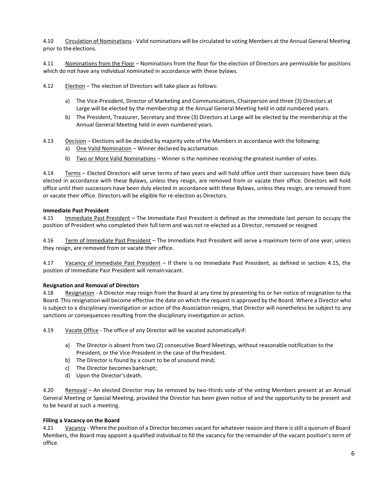4.10 Circulation of Nominations - Valid nominations will be circulated to voting Members at the Annual General Meeting prior to the elections.

4.11 Nominations from the Floor – Nominations from the floor for the election of Directors are permissible for positions which do not have any individual nominated in accordance with these bylaws.

4.12 Election – The election of Directors will take place as follows:

- a) The Vice-President, Director of Marketing and Communications, Chairperson and three (3) Directors at Large will be elected by the membership at the Annual General Meeting held in odd numbered years.
- b) The President, Treasurer, Secretary and three (3) Directors at Large will be elected by the membership at the Annual General Meeting held in even numbered years.
- 4.13 Decision Elections will be decided by majority vote of the Members in accordance with the following:
	- a) One Valid Nomination Winner declared by acclamation.
	- b) Two or More Valid Nominations Winner is the nominee receiving the greatest number of votes.

4.14 Terms – Elected Directors will serve terms of two years and will hold office until their successors have been duly elected in accordance with these Bylaws, unless they resign, are removed from or vacate their office. Directors will hold office until their successors have been duly elected in accordance with these Bylaws, unless they resign, are removed from or vacate their office. Directors will be eligible for re-election as Directors.

## **Immediate Past President**

4.15 Immediate Past President – The Immediate Past President is defined as the immediate last person to occupy the position of President who completed their full term and was not re-elected as a Director, removed or resigned.

4.16 Term of Immediate Past President - The Immediate Past President will serve a maximum term of one year, unless they resign, are removed from or vacate their office.

4.17 Vacancy of Immediate Past President – If there is no Immediate Past President, as defined in section 4.15, the position of Immediate Past President will remain vacant.

#### **Resignation and Removal of Directors**

4.18 Resignation - A Director may resign from the Board at any time by presenting his or her notice of resignation to the Board. This resignation will become effective the date on which the request is approved by the Board. Where a Director who is subject to a disciplinary investigation or action of the Association resigns, that Director will nonetheless be subject to any sanctions or consequences resulting from the disciplinary investigation or action.

4.19 Vacate Office - The office of any Director will be vacated automaticallyif:

- a) The Director is absent from two (2) consecutive Board Meetings, without reasonable notification to the President, or the Vice-President in the case of the President.
- b) The Director is found by a court to be of unsound mind;
- c) The Director becomes bankrupt;
- d) Upon the Director's death.

4.20 Removal – An elected Director may be removed by two-thirds vote of the voting Members present at an Annual General Meeting or Special Meeting, provided the Director has been given notice of and the opportunity to be present and to be heard at such a meeting.

## **Filling a Vacancy on the Board**

4.21 Vacancy - Where the position of a Director becomes vacant for whatever reason and there is still a quorum of Board Members, the Board may appoint a qualified individual to fill the vacancy for the remainder of the vacant position's term of office.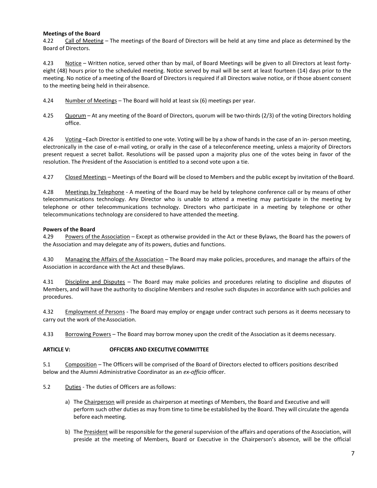## **Meetings of the Board**

4.22 Call of Meeting – The meetings of the Board of Directors will be held at any time and place as determined by the Board of Directors.

4.23 Notice – Written notice, served other than by mail, of Board Meetings will be given to all Directors at least fortyeight (48) hours prior to the scheduled meeting. Notice served by mail will be sent at least fourteen (14) days prior to the meeting. No notice of a meeting of the Board of Directors is required if all Directors waive notice, or if those absent consent to the meeting being held in theirabsence.

- 4.24 Number of Meetings The Board will hold at least six (6) meetings per year.
- 4.25 Quorum At any meeting of the Board of Directors, quorum will be two-thirds (2/3) of the voting Directors holding office.

4.26 Voting –Each Director is entitled to one vote. Voting will be by a show of hands in the case of an in- person meeting, electronically in the case of e-mail voting, or orally in the case of a teleconference meeting, unless a majority of Directors present request a secret ballot. Resolutions will be passed upon a majority plus one of the votes being in favor of the resolution. The President of the Association is entitled to a second vote upon a tie.

4.27 Closed Meetings – Meetings of the Board will be closed to Members and the public except by invitation of theBoard.

4.28 Meetings by Telephone - A meeting of the Board may be held by telephone conference call or by means of other telecommunications technology. Any Director who is unable to attend a meeting may participate in the meeting by telephone or other telecommunications technology. Directors who participate in a meeting by telephone or other telecommunications technology are considered to have attended themeeting.

## **Powers of the Board**

4.29 Powers of the Association – Except as otherwise provided in the Act or these Bylaws, the Board has the powers of the Association and may delegate any of its powers, duties and functions.

4.30 Managing the Affairs of the Association – The Board may make policies, procedures, and manage the affairs of the Association in accordance with the Act and these Bylaws.

4.31 Discipline and Disputes – The Board may make policies and procedures relating to discipline and disputes of Members, and will have the authority to discipline Members and resolve such disputes in accordance with such policies and procedures.

4.32 Employment of Persons - The Board may employ or engage under contract such persons as it deems necessary to carry out the work of theAssociation.

4.33 Borrowing Powers – The Board may borrow money upon the credit of the Association as it deems necessary.

## **ARTICLE V: OFFICERS AND EXECUTIVE COMMITTEE**

5.1 Composition – The Officers will be comprised of the Board of Directors elected to officers positions described below and the Alumni Administrative Coordinator as an *ex-officio* officer.

- 5.2 Duties The duties of Officers are asfollows:
	- a) The Chairperson will preside as chairperson at meetings of Members, the Board and Executive and will perform such other duties as may from time to time be established by the Board. They will circulate the agenda before each meeting.
	- b) The President will be responsible for the general supervision of the affairs and operations of the Association, will preside at the meeting of Members, Board or Executive in the Chairperson's absence, will be the official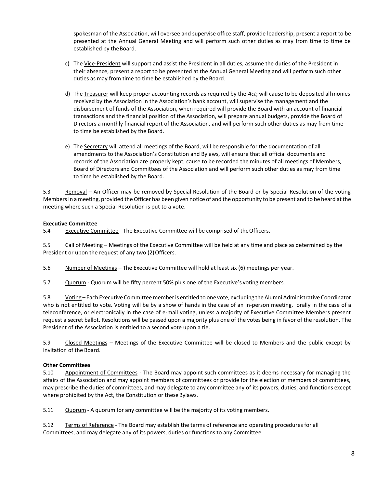spokesman of the Association, will oversee and supervise office staff, provide leadership, present a report to be presented at the Annual General Meeting and will perform such other duties as may from time to time be established by theBoard.

- c) The Vice-President will support and assist the President in all duties, assume the duties of the President in their absence, present a report to be presented at the Annual General Meeting and will perform such other duties as may from time to time be established by the Board.
- d) The Treasurer will keep proper accounting records as required by the *Act*; will cause to be deposited allmonies received by the Association in the Association's bank account, will supervise the management and the disbursement of funds of the Association, when required will provide the Board with an account of financial transactions and the financial position of the Association, will prepare annual budgets, provide the Board of Directors a monthly financial report of the Association, and will perform such other duties as may from time to time be established by the Board.
- e) The Secretary will attend all meetings of the Board, will be responsible for the documentation of all amendments to the Association's Constitution and Bylaws, will ensure that all official documents and records of the Association are properly kept, cause to be recorded the minutes of all meetings of Members, Board of Directors and Committees of the Association and will perform such other duties as may from time to time be established by the Board.

5.3 Removal – An Officer may be removed by Special Resolution of the Board or by Special Resolution of the voting Members in a meeting, provided the Officer has been given notice of and the opportunity to be present and to be heard atthe meeting where such a Special Resolution is put to a vote.

## **Executive Committee**

5.4 Executive Committee - The Executive Committee will be comprised of the Officers.

5.5 Call of Meeting – Meetings of the Executive Committee will be held at any time and place as determined by the President or upon the request of any two (2) Officers.

5.6 Number of Meetings – The Executive Committee will hold at least six (6) meetings per year.

5.7 Quorum - Quorum will be fifty percent 50% plus one of the Executive's voting members.

5.8 Voting – Each Executive Committeememberis entitled to one vote, excluding the Alumni Administrative Coordinator who is not entitled to vote. Voting will be by a show of hands in the case of an in-person meeting, orally in the case of a teleconference, or electronically in the case of e-mail voting, unless a majority of Executive Committee Members present request a secret ballot. Resolutions will be passed upon a majority plus one of the votes being in favor of the resolution. The President of the Association is entitled to a second vote upon a tie.

5.9 Closed Meetings – Meetings of the Executive Committee will be closed to Members and the public except by invitation of the Board.

# **Other Committees**

5.10 Appointment of Committees - The Board may appoint such committees as it deems necessary for managing the affairs of the Association and may appoint members of committees or provide for the election of members of committees, may prescribe the duties of committees, and may delegate to any committee any of its powers, duties, and functions except where prohibited by the Act, the Constitution or these Bylaws.

5.11 Quorum - A quorum for any committee will be the majority of its voting members.

5.12 Terms of Reference - The Board may establish the terms of reference and operating procedures for all Committees, and may delegate any of its powers, duties or functions to any Committee.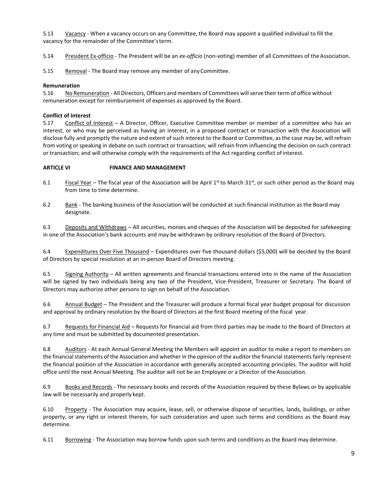5.13 <u>Vacancy</u> - When a vacancy occurs on any Committee, the Board may appoint a qualified individual to fill the vacancy for the remainder of the Committee'sterm.

5.14 President Ex-officio - The President will be an *ex-officio* (non-voting) member of all Committees of the Association.

5.15 Removal - The Board may remove any member of any Committee.

## **Remuneration**

5.16 No Remuneration - All Directors, Officers and members of Committees will serve their term of office without remuneration except for reimbursement of expenses as approved by the Board.

## **Conflict of Interest**

5.17 Conflict of Interest – A Director, Officer, Executive Committee member or member of a committee who has an interest, or who may be perceived as having an interest, in a proposed contract or transaction with the Association will disclose fully and promptly the nature and extent of such interest to the Board or Committee, as the case may be, will refrain from voting or speaking in debate on such contract or transaction; will refrain from influencing the decision on such contract or transaction; and will otherwise comply with the requirements of the Act regarding conflict ofinterest.

## **ARTICLE VI FINANCE AND MANAGEMENT**

- 6.1 Fiscal Year The fiscal year of the Association will be April 1<sup>st</sup> to March 31<sup>st</sup>, or such other period as the Board may from time to time determine.
- 6.2 Bank The banking business of the Association will be conducted at such financial institution as the Board may designate.

6.3 Deposits and Withdraws – All securities, monies and cheques of the Association will be deposited for safekeeping in one of the Association's bank accounts and may be withdrawn by ordinary resolution of the Board of Directors.

6.4 Expenditures Over Five Thousand – Expenditures over five thousand dollars (\$5,000) will be decided by the Board of Directors by special resolution at an in-person Board of Directors meeting.

6.5 Signing Authority – All written agreements and financial transactions entered into in the name of the Association will be signed by two individuals being any two of the President, Vice-President, Treasurer or Secretary. The Board of Directors may authorize other persons to sign on behalf of the Association.

6.6 Annual Budget – The President and the Treasurer will produce a formal fiscal year budget proposal for discussion and approval by ordinary resolution by the Board of Directors at the first Board meeting of the fiscal year.

6.7 Requests for Financial Aid – Requests for financial aid from third parties may be made to the Board of Directors at any time and must be submitted by documented presentation.

6.8 Auditors - At each Annual General Meeting the Members will appoint an auditor to make a report to members on the financial statements of the Association and whether in the opinion of the auditor the financial statements fairly represent the financial position of the Association in accordance with generally accepted accounting principles. The auditor will hold office until the next Annual Meeting. The auditor will not be an Employee or a Director of the Association.

6.9 Books and Records - The necessary books and records of the Association required by these Bylaws or by applicable law will be necessarily and properly kept.

6.10 Property - The Association may acquire, lease, sell, or otherwise dispose of securities, lands, buildings, or other property, or any right or interest therein, for such consideration and upon such terms and conditions as the Board may determine.

6.11 Borrowing - The Association may borrow funds upon such terms and conditions as the Board may determine.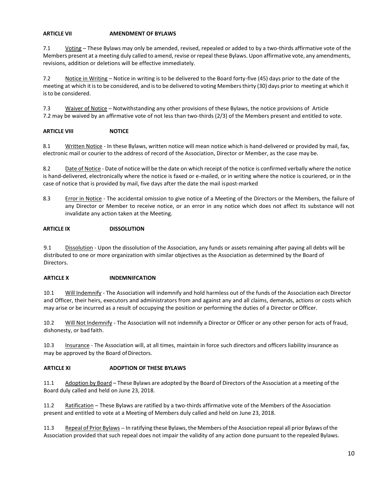## **ARTICLE VII AMENDMENT OF BYLAWS**

7.1 Voting – These Bylaws may only be amended, revised, repealed or added to by a two-thirds affirmative vote of the Members present at a meeting duly called to amend, revise or repeal these Bylaws. Upon affirmative vote, any amendments, revisions, addition or deletions will be effective immediately.

7.2 Notice in Writing – Notice in writing is to be delivered to the Board forty-five (45) days prior to the date of the meeting at which it isto be considered, and isto be delivered to voting Membersthirty (30) days prior to meeting at which it isto be considered.

7.3 Waiver of Notice – Notwithstanding any other provisions of these Bylaws, the notice provisions of Article 7.2 may be waived by an affirmative vote of not less than two-thirds (2/3) of the Members present and entitled to vote.

## **ARTICLE VIII NOTICE**

8.1 Written Notice - In these Bylaws, written notice will mean notice which is hand-delivered or provided by mail, fax, electronic mail or courier to the address of record of the Association, Director or Member, as the case may be.

8.2 Date of Notice - Date of notice will be the date on which receipt of the notice is confirmed verbally where the notice is hand-delivered, electronically where the notice is faxed or e-mailed, or in writing where the notice is couriered, or in the case of notice that is provided by mail, five days after the date the mail ispost-marked

8.3 Error in Notice - The accidental omission to give notice of a Meeting of the Directors or the Members, the failure of any Director or Member to receive notice, or an error in any notice which does not affect its substance will not invalidate any action taken at the Meeting.

## **ARTICLE IX DISSOLUTION**

9.1 Dissolution - Upon the dissolution of the Association, any funds or assets remaining after paying all debts will be distributed to one or more organization with similar objectives as the Association as determined by the Board of Directors.

## **ARTICLE X INDEMNIFCATION**

10.1 Will Indemnify - The Association will indemnify and hold harmless out of the funds of the Association each Director and Officer, their heirs, executors and administrators from and against any and all claims, demands, actions or costs which may arise or be incurred as a result of occupying the position or performing the duties of a Director or Officer.

10.2 Will Not Indemnify - The Association will not indemnify a Director or Officer or any other person for acts of fraud, dishonesty, or bad faith.

10.3 Insurance - The Association will, at all times, maintain in force such directors and officers liability insurance as may be approved by the Board of Directors.

## **ARTICLE XI ADOPTION OF THESE BYLAWS**

11.1 Adoption by Board – These Bylaws are adopted by the Board of Directors of the Association at a meeting of the Board duly called and held on June 23, 2018.

11.2 Ratification – These Bylaws are ratified by a two-thirds affirmative vote of the Members of the Association present and entitled to vote at a Meeting of Members duly called and held on June 23, 2018.

11.3 Repeal of Prior Bylaws -- In ratifying these Bylaws, the Members of the Association repeal all prior Bylaws of the Association provided that such repeal does not impair the validity of any action done pursuant to the repealed Bylaws.